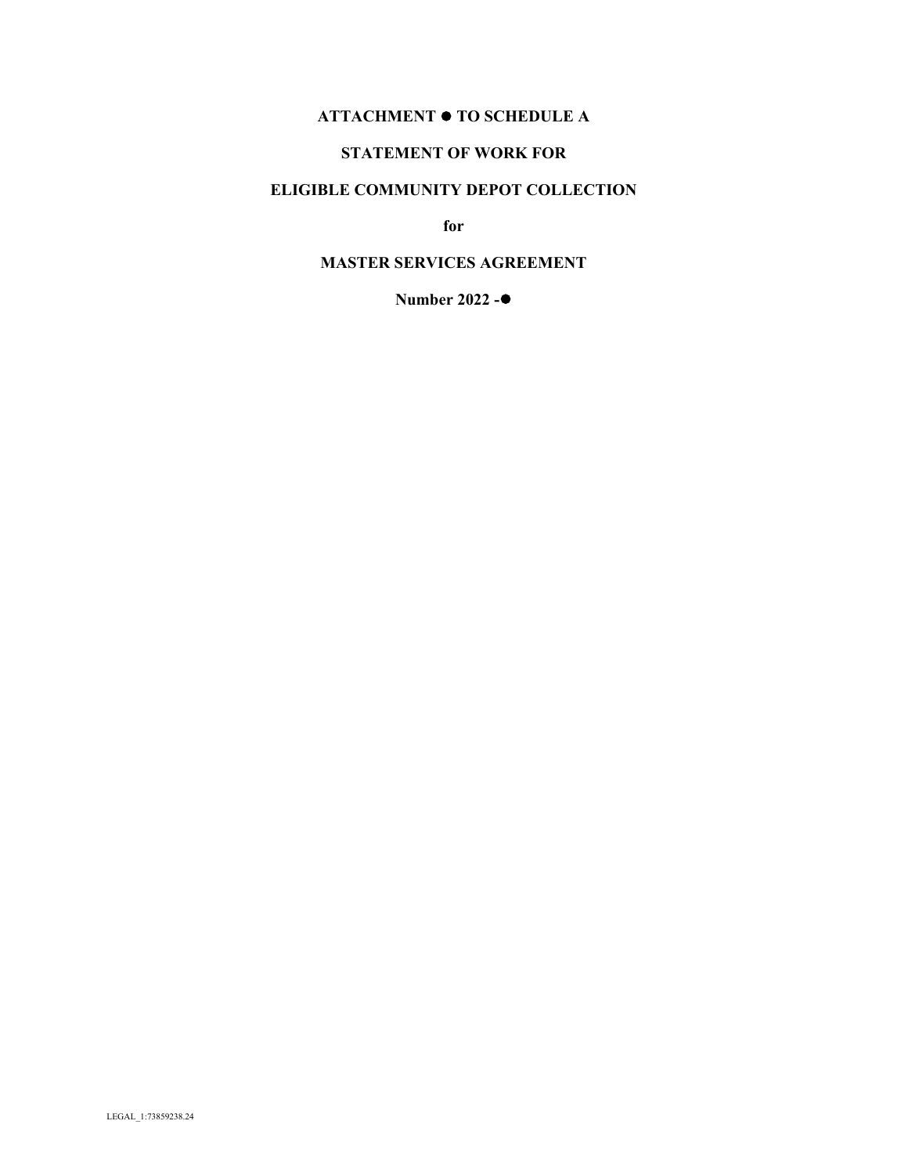# **ATTACHMENT TO SCHEDULE A**

### **STATEMENT OF WORK FOR**

## **ELIGIBLE COMMUNITY DEPOT COLLECTION**

**for**

## **MASTER SERVICES AGREEMENT**

**Number 2022 -**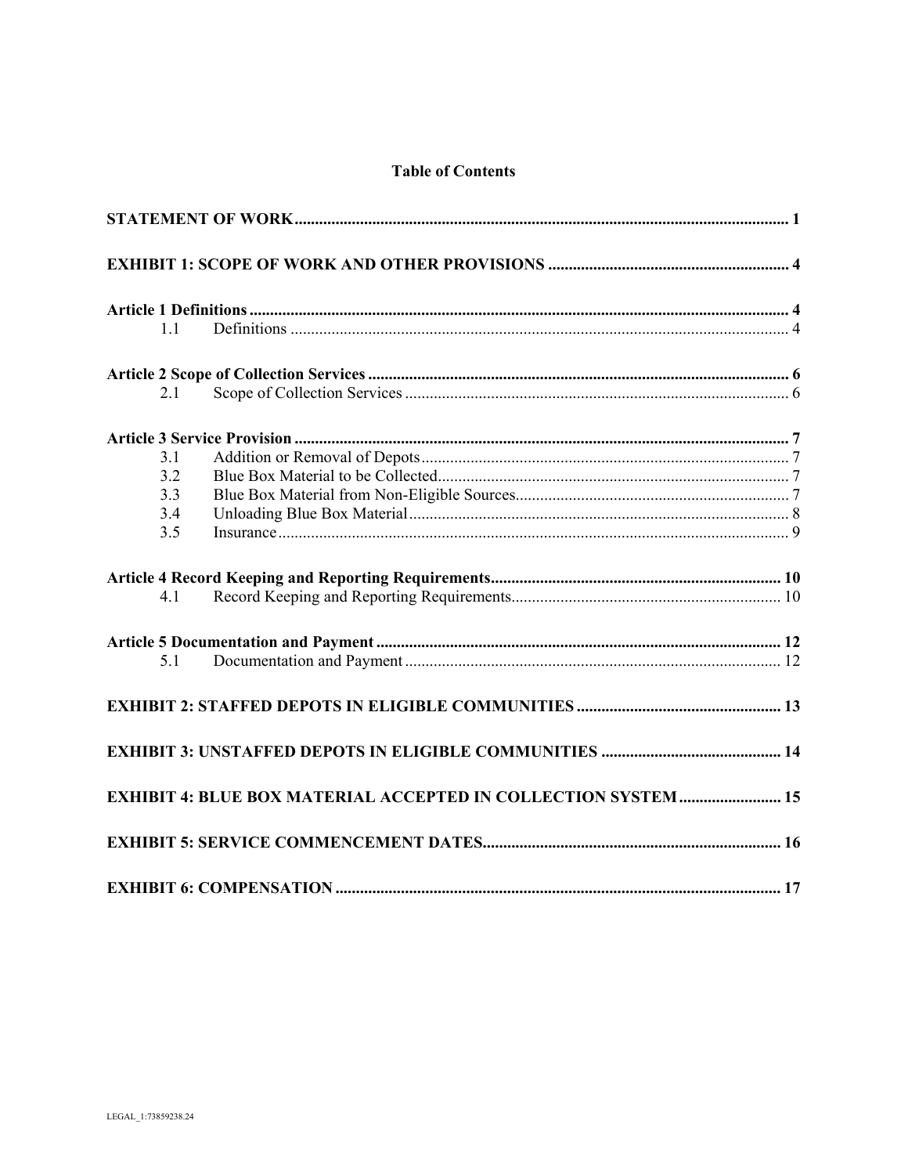|  | <b>Table of Contents</b> |
|--|--------------------------|
|  |                          |

| 1.1 |                                                                       |  |
|-----|-----------------------------------------------------------------------|--|
|     |                                                                       |  |
| 2.1 |                                                                       |  |
|     |                                                                       |  |
| 3.1 |                                                                       |  |
| 3.2 |                                                                       |  |
| 3.3 |                                                                       |  |
| 3.4 |                                                                       |  |
| 3.5 |                                                                       |  |
|     |                                                                       |  |
| 4.1 |                                                                       |  |
|     |                                                                       |  |
| 5.1 |                                                                       |  |
|     |                                                                       |  |
|     |                                                                       |  |
|     | <b>EXHIBIT 4: BLUE BOX MATERIAL ACCEPTED IN COLLECTION SYSTEM  15</b> |  |
|     |                                                                       |  |
|     |                                                                       |  |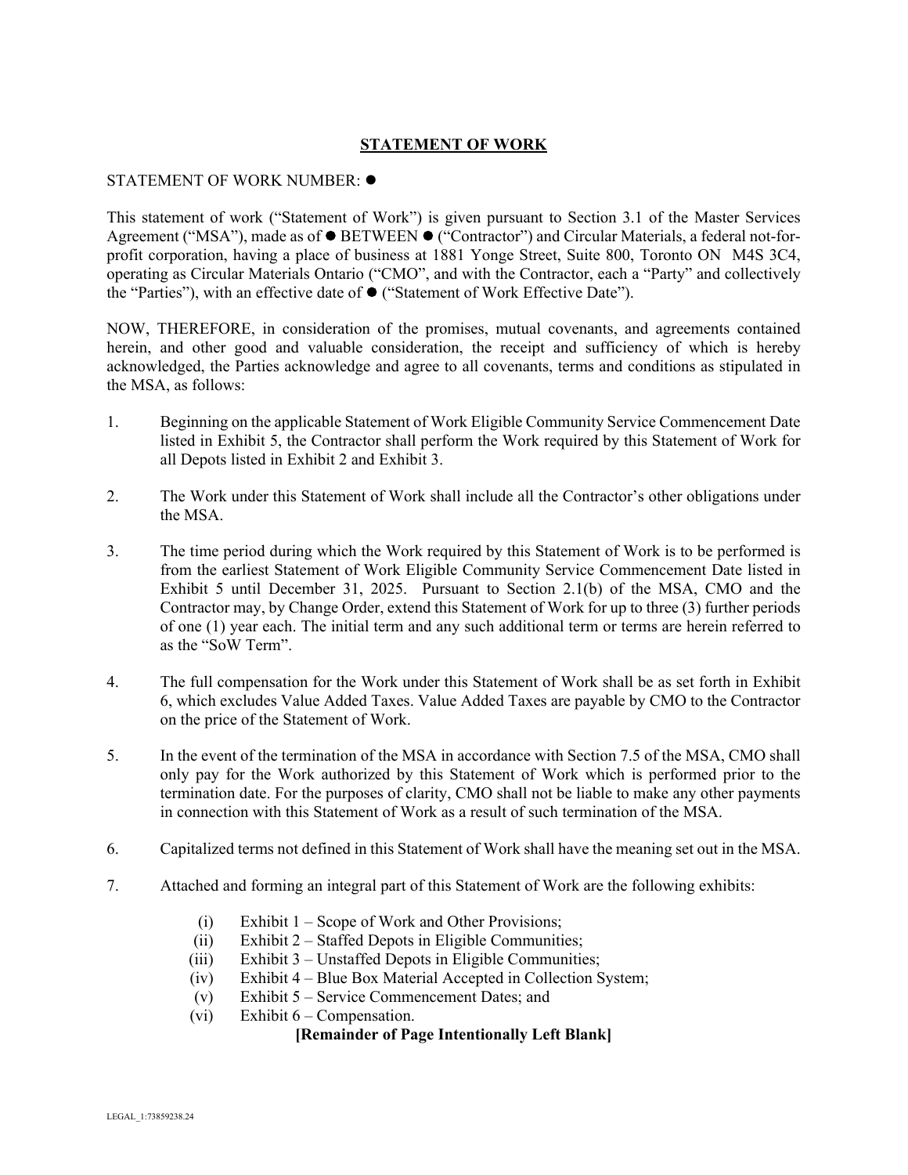### **STATEMENT OF WORK**

#### <span id="page-2-0"></span>STATEMENT OF WORK NUMBER:

This statement of work ("Statement of Work") is given pursuant to Section 3.1 of the Master Services Agreement ("MSA"), made as of  $\bullet$  BETWEEN  $\bullet$  ("Contractor") and Circular Materials, a federal not-forprofit corporation, having a place of business at 1881 Yonge Street, Suite 800, Toronto ON M4S 3C4, operating as Circular Materials Ontario ("CMO", and with the Contractor, each a "Party" and collectively the "Parties"), with an effective date of ("Statement of Work Effective Date").

NOW, THEREFORE, in consideration of the promises, mutual covenants, and agreements contained herein, and other good and valuable consideration, the receipt and sufficiency of which is hereby acknowledged, the Parties acknowledge and agree to all covenants, terms and conditions as stipulated in the MSA, as follows:

- 1. Beginning on the applicable Statement of Work Eligible Community Service Commencement Date listed in Exhibit 5, the Contractor shall perform the Work required by this Statement of Work for all Depots listed in Exhibit 2 and Exhibit 3.
- 2. The Work under this Statement of Work shall include all the Contractor's other obligations under the MSA.
- 3. The time period during which the Work required by this Statement of Work is to be performed is from the earliest Statement of Work Eligible Community Service Commencement Date listed in Exhibit 5 until December 31, 2025. Pursuant to Section 2.1(b) of the MSA, CMO and the Contractor may, by Change Order, extend this Statement of Work for up to three (3) further periods of one (1) year each. The initial term and any such additional term or terms are herein referred to as the "SoW Term".
- 4. The full compensation for the Work under this Statement of Work shall be as set forth in Exhibit 6, which excludes Value Added Taxes. Value Added Taxes are payable by CMO to the Contractor on the price of the Statement of Work.
- 5. In the event of the termination of the MSA in accordance with Section 7.5 of the MSA, CMO shall only pay for the Work authorized by this Statement of Work which is performed prior to the termination date. For the purposes of clarity, CMO shall not be liable to make any other payments in connection with this Statement of Work as a result of such termination of the MSA.
- 6. Capitalized terms not defined in this Statement of Work shall have the meaning set out in the MSA.
- 7. Attached and forming an integral part of this Statement of Work are the following exhibits:
	- (i) Exhibit 1 Scope of Work and Other Provisions;
	- (ii) Exhibit 2 Staffed Depots in Eligible Communities;
	- (iii) Exhibit 3 Unstaffed Depots in Eligible Communities;
	- (iv) Exhibit 4 Blue Box Material Accepted in Collection System;
	- (v) Exhibit 5 Service Commencement Dates; and
	- (vi) Exhibit  $6$  Compensation.

#### **[Remainder of Page Intentionally Left Blank]**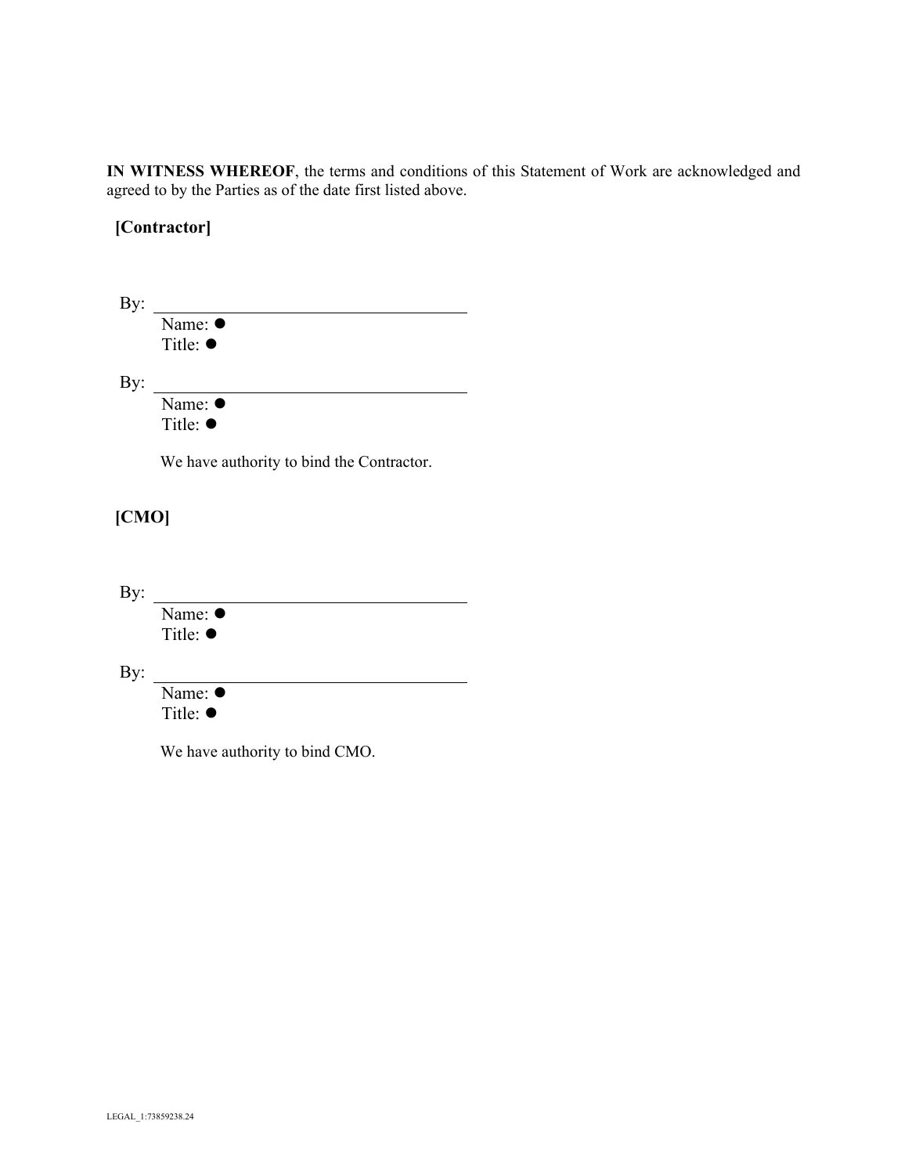**IN WITNESS WHEREOF**, the terms and conditions of this Statement of Work are acknowledged and agreed to by the Parties as of the date first listed above.

# **[Contractor]**

| By:   |                                           |
|-------|-------------------------------------------|
|       | Name: $\bullet$                           |
|       | Title: $\bullet$                          |
| By:   |                                           |
|       | Name: $\bullet$                           |
|       | Title: ●                                  |
|       | We have authority to bind the Contractor. |
| [CMO] |                                           |
|       |                                           |
| By:   |                                           |
|       | Name: ●                                   |
|       | Tifla·                                    |

Title: ●

By:

Name:  $\bullet$ Title:  $\bullet$ 

We have authority to bind CMO.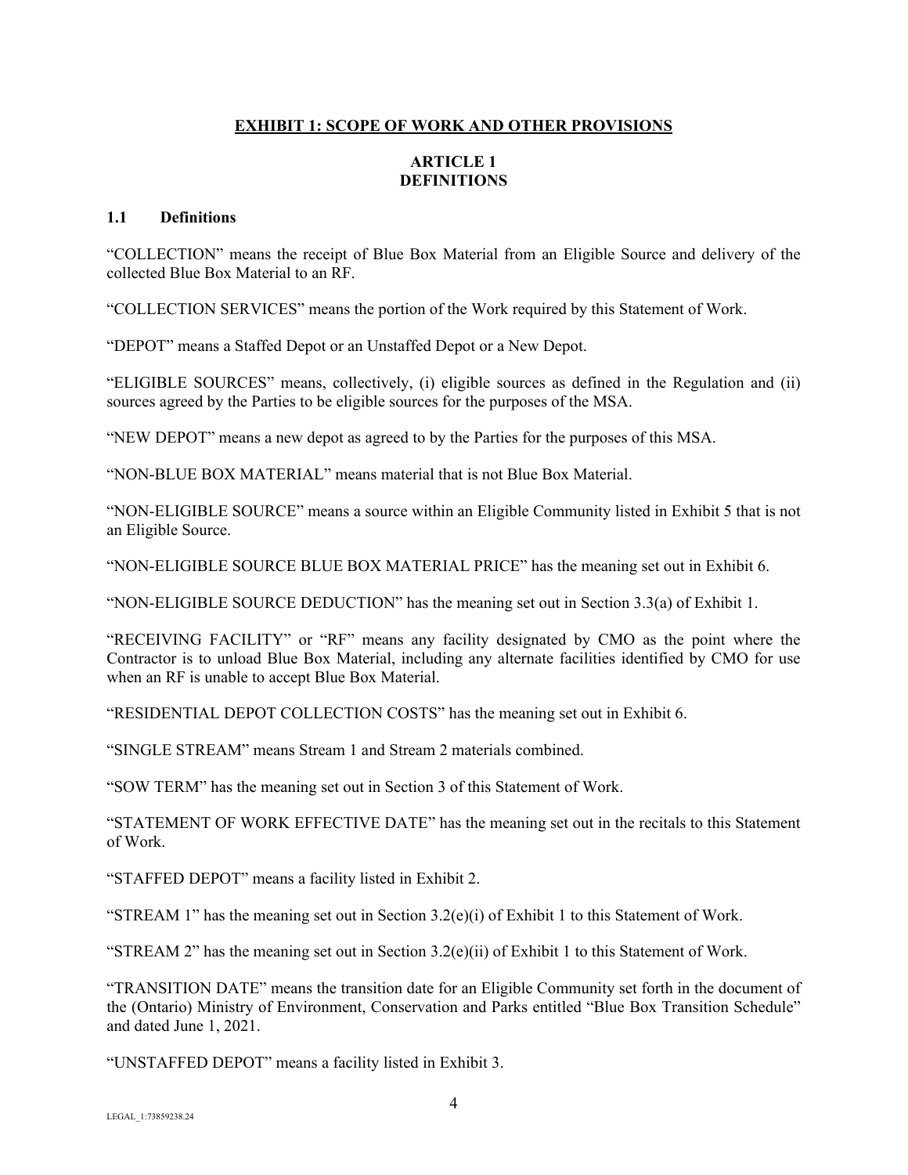### **EXHIBIT 1: SCOPE OF WORK AND OTHER PROVISIONS**

## **ARTICLE 1 DEFINITIONS**

#### <span id="page-4-2"></span><span id="page-4-1"></span><span id="page-4-0"></span>**1.1 Definitions**

"COLLECTION" means the receipt of Blue Box Material from an Eligible Source and delivery of the collected Blue Box Material to an RF.

"COLLECTION SERVICES" means the portion of the Work required by this Statement of Work.

"DEPOT" means a Staffed Depot or an Unstaffed Depot or a New Depot.

"ELIGIBLE SOURCES" means, collectively, (i) eligible sources as defined in the Regulation and (ii) sources agreed by the Parties to be eligible sources for the purposes of the MSA.

"NEW DEPOT" means a new depot as agreed to by the Parties for the purposes of this MSA.

"NON-BLUE BOX MATERIAL" means material that is not Blue Box Material.

"NON-ELIGIBLE SOURCE" means a source within an Eligible Community listed in Exhibit 5 that is not an Eligible Source.

"NON-ELIGIBLE SOURCE BLUE BOX MATERIAL PRICE" has the meaning set out in Exhibit 6.

"NON-ELIGIBLE SOURCE DEDUCTION" has the meaning set out in Section 3.3(a) of Exhibit 1.

"RECEIVING FACILITY" or "RF" means any facility designated by CMO as the point where the Contractor is to unload Blue Box Material, including any alternate facilities identified by CMO for use when an RF is unable to accept Blue Box Material.

"RESIDENTIAL DEPOT COLLECTION COSTS" has the meaning set out in Exhibit 6.

"SINGLE STREAM" means Stream 1 and Stream 2 materials combined.

"SOW TERM" has the meaning set out in Section 3 of this Statement of Work.

"STATEMENT OF WORK EFFECTIVE DATE" has the meaning set out in the recitals to this Statement of Work.

"STAFFED DEPOT" means a facility listed in Exhibit 2.

"STREAM 1" has the meaning set out in Section  $3.2(e)(i)$  of Exhibit 1 to this Statement of Work.

"STREAM 2" has the meaning set out in Section  $3.2(e)(ii)$  of Exhibit 1 to this Statement of Work.

"TRANSITION DATE" means the transition date for an Eligible Community set forth in the document of the (Ontario) Ministry of Environment, Conservation and Parks entitled "Blue Box Transition Schedule" and dated June 1, 2021.

"UNSTAFFED DEPOT" means a facility listed in Exhibit 3.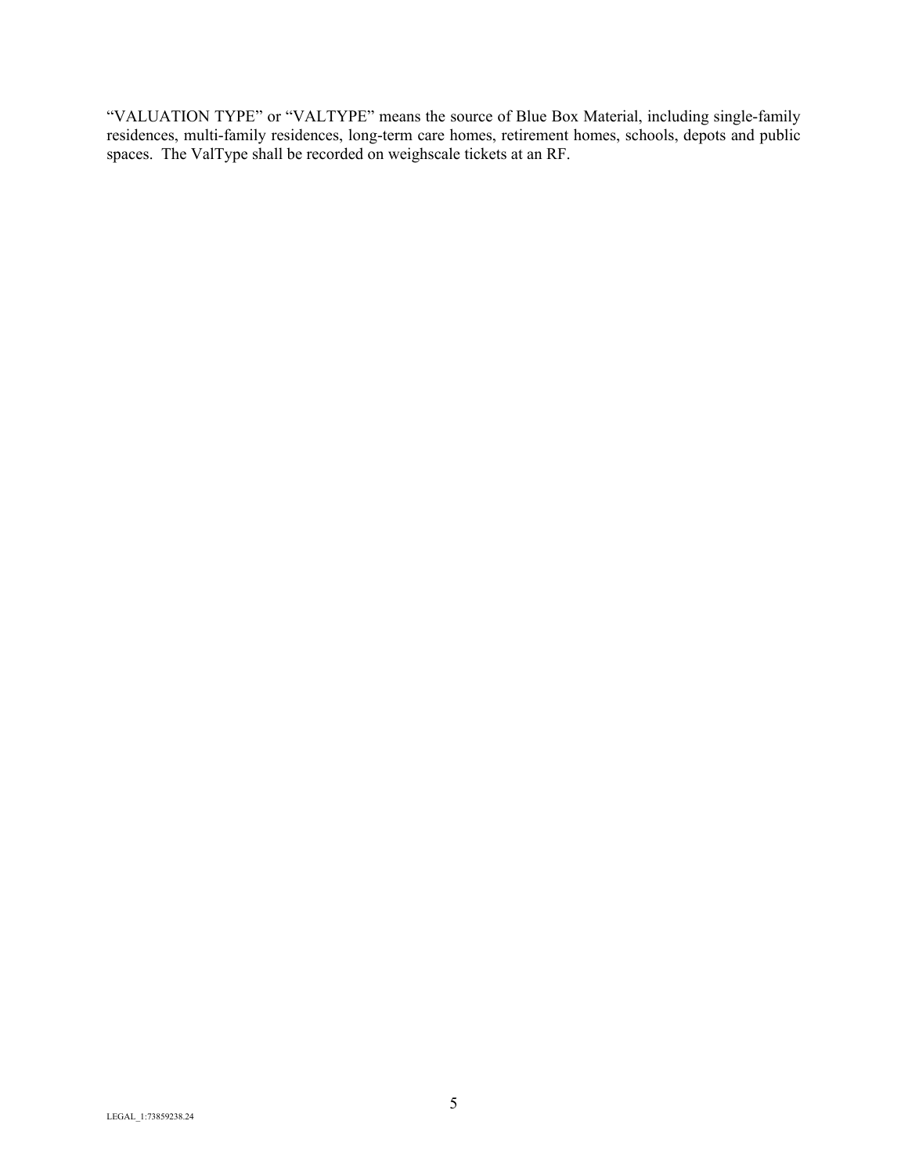"VALUATION TYPE" or "VALTYPE" means the source of Blue Box Material, including single-family residences, multi-family residences, long-term care homes, retirement homes, schools, depots and public spaces. The ValType shall be recorded on weighscale tickets at an RF.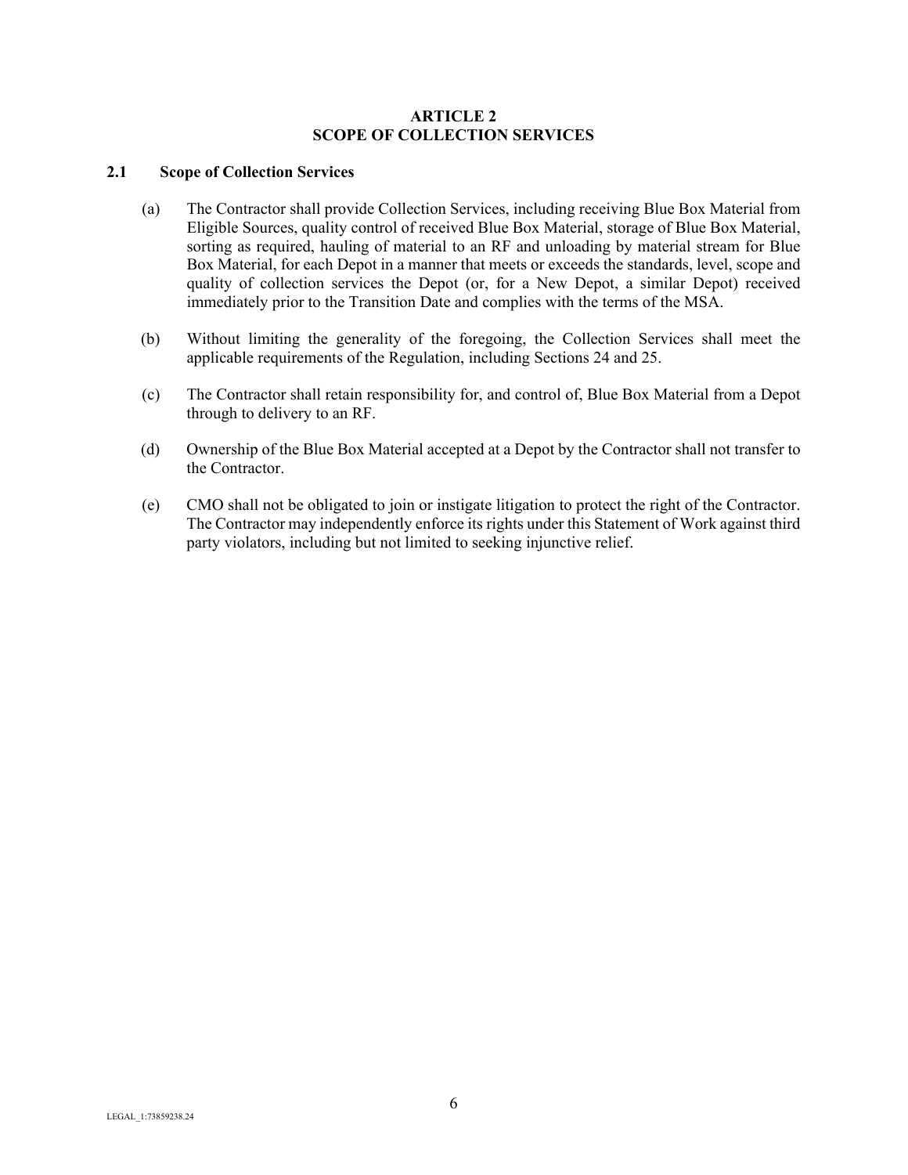#### **ARTICLE 2 SCOPE OF COLLECTION SERVICES**

## <span id="page-6-1"></span><span id="page-6-0"></span>**2.1 Scope of Collection Services**

- (a) The Contractor shall provide Collection Services, including receiving Blue Box Material from Eligible Sources, quality control of received Blue Box Material, storage of Blue Box Material, sorting as required, hauling of material to an RF and unloading by material stream for Blue Box Material, for each Depot in a manner that meets or exceeds the standards, level, scope and quality of collection services the Depot (or, for a New Depot, a similar Depot) received immediately prior to the Transition Date and complies with the terms of the MSA.
- (b) Without limiting the generality of the foregoing, the Collection Services shall meet the applicable requirements of the Regulation, including Sections 24 and 25.
- (c) The Contractor shall retain responsibility for, and control of, Blue Box Material from a Depot through to delivery to an RF.
- (d) Ownership of the Blue Box Material accepted at a Depot by the Contractor shall not transfer to the Contractor.
- (e) CMO shall not be obligated to join or instigate litigation to protect the right of the Contractor. The Contractor may independently enforce its rights under this Statement of Work against third party violators, including but not limited to seeking injunctive relief.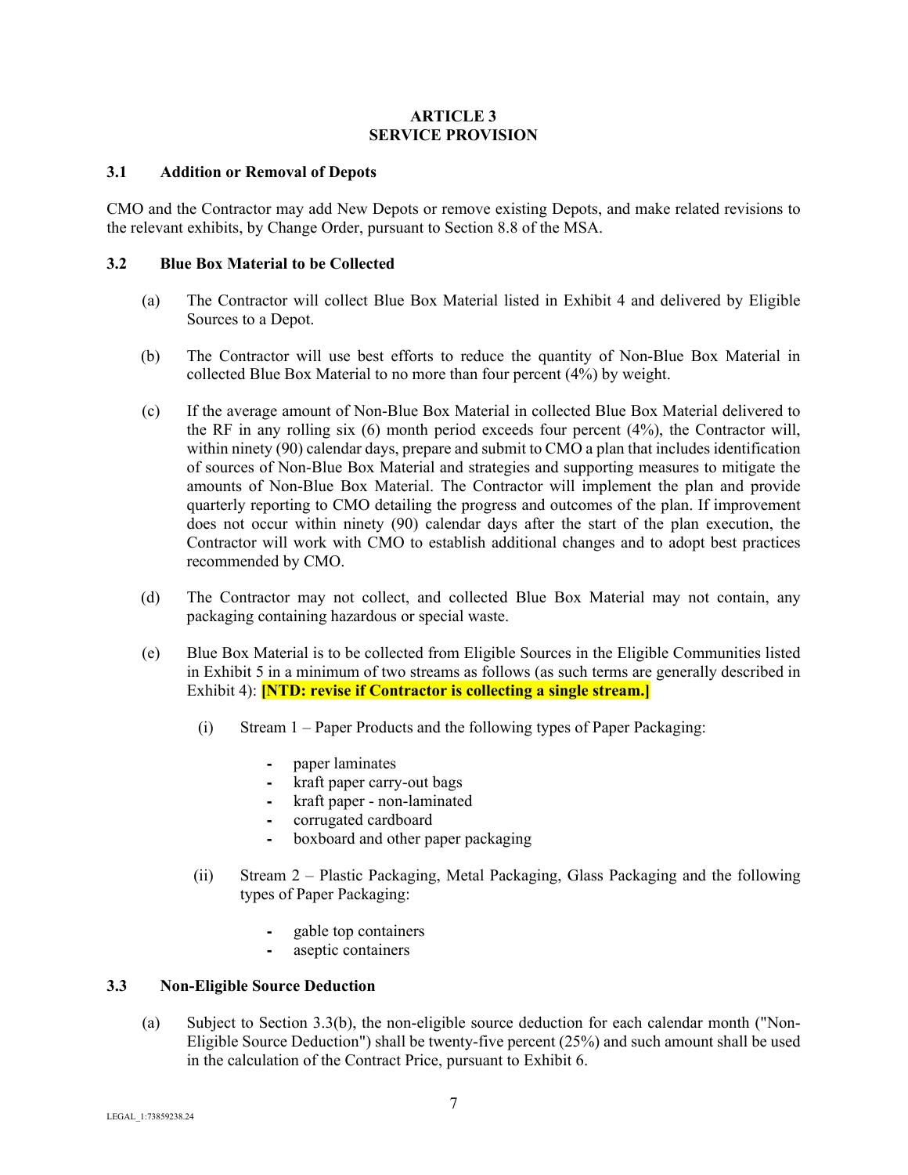#### **ARTICLE 3 SERVICE PROVISION**

### <span id="page-7-1"></span><span id="page-7-0"></span>**3.1 Addition or Removal of Depots**

CMO and the Contractor may add New Depots or remove existing Depots, and make related revisions to the relevant exhibits, by Change Order, pursuant to Section 8.8 of the MSA.

#### <span id="page-7-2"></span>**3.2 Blue Box Material to be Collected**

- (a) The Contractor will collect Blue Box Material listed in Exhibit 4 and delivered by Eligible Sources to a Depot.
- (b) The Contractor will use best efforts to reduce the quantity of Non-Blue Box Material in collected Blue Box Material to no more than four percent (4%) by weight.
- (c) If the average amount of Non-Blue Box Material in collected Blue Box Material delivered to the RF in any rolling six (6) month period exceeds four percent (4%), the Contractor will, within ninety (90) calendar days, prepare and submit to CMO a plan that includes identification of sources of Non-Blue Box Material and strategies and supporting measures to mitigate the amounts of Non-Blue Box Material. The Contractor will implement the plan and provide quarterly reporting to CMO detailing the progress and outcomes of the plan. If improvement does not occur within ninety (90) calendar days after the start of the plan execution, the Contractor will work with CMO to establish additional changes and to adopt best practices recommended by CMO.
- (d) The Contractor may not collect, and collected Blue Box Material may not contain, any packaging containing hazardous or special waste.
- (e) Blue Box Material is to be collected from Eligible Sources in the Eligible Communities listed in Exhibit 5 in a minimum of two streams as follows (as such terms are generally described in Exhibit 4): **[NTD: revise if Contractor is collecting a single stream.]**
	- (i) Stream 1 Paper Products and the following types of Paper Packaging:
		- ⁃ paper laminates
		- ⁃ kraft paper carry-out bags
		- ⁃ kraft paper non-laminated
		- ⁃ corrugated cardboard
		- ⁃ boxboard and other paper packaging
	- (ii) Stream 2 Plastic Packaging, Metal Packaging, Glass Packaging and the following types of Paper Packaging:
		- ⁃ gable top containers
		- aseptic containers

#### <span id="page-7-3"></span>**3.3 Non-Eligible Source Deduction**

(a) Subject to Section 3.3(b), the non-eligible source deduction for each calendar month ("Non-Eligible Source Deduction") shall be twenty-five percent (25%) and such amount shall be used in the calculation of the Contract Price, pursuant to Exhibit 6.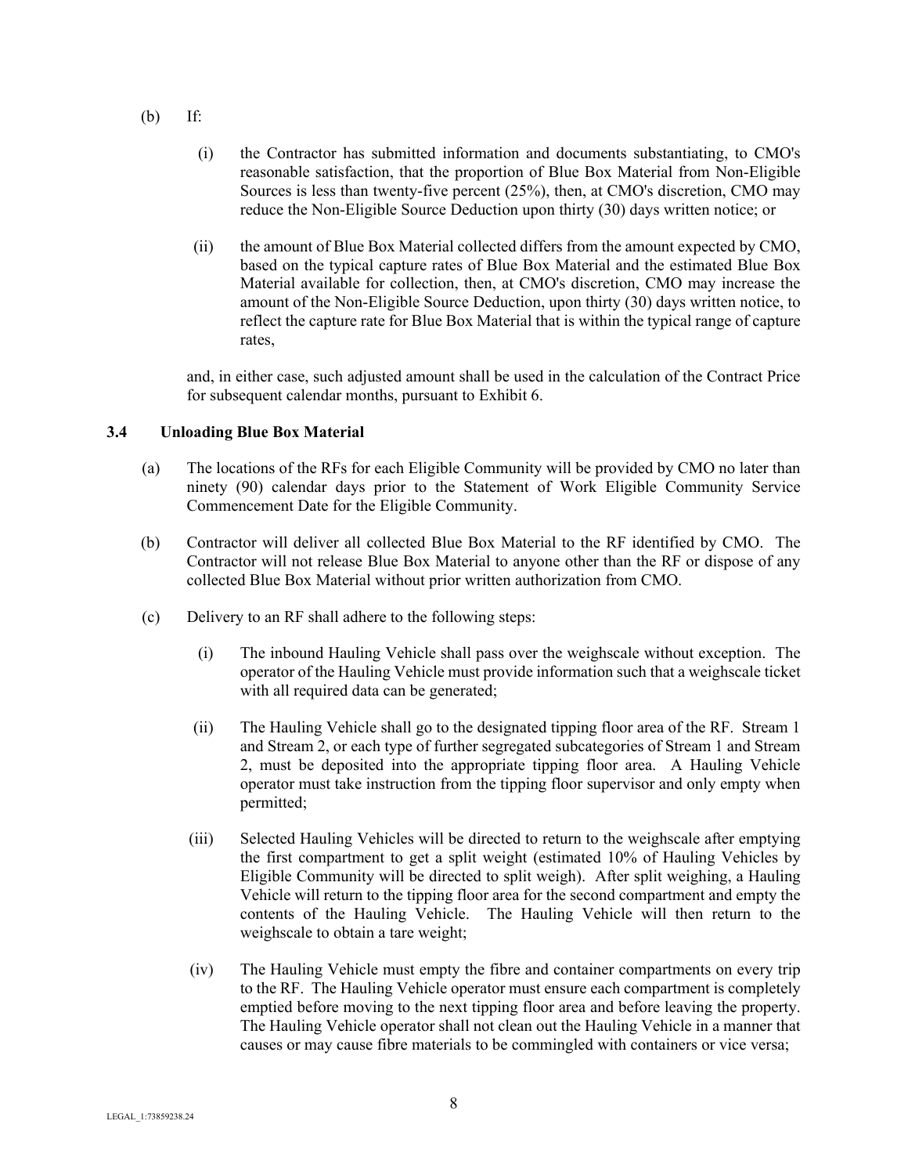- (b) If:
	- (i) the Contractor has submitted information and documents substantiating, to CMO's reasonable satisfaction, that the proportion of Blue Box Material from Non-Eligible Sources is less than twenty-five percent (25%), then, at CMO's discretion, CMO may reduce the Non-Eligible Source Deduction upon thirty (30) days written notice; or
	- (ii) the amount of Blue Box Material collected differs from the amount expected by CMO, based on the typical capture rates of Blue Box Material and the estimated Blue Box Material available for collection, then, at CMO's discretion, CMO may increase the amount of the Non-Eligible Source Deduction, upon thirty (30) days written notice, to reflect the capture rate for Blue Box Material that is within the typical range of capture rates,

and, in either case, such adjusted amount shall be used in the calculation of the Contract Price for subsequent calendar months, pursuant to Exhibit 6.

### <span id="page-8-0"></span>**3.4 Unloading Blue Box Material**

- (a) The locations of the RFs for each Eligible Community will be provided by CMO no later than ninety (90) calendar days prior to the Statement of Work Eligible Community Service Commencement Date for the Eligible Community.
- (b) Contractor will deliver all collected Blue Box Material to the RF identified by CMO. The Contractor will not release Blue Box Material to anyone other than the RF or dispose of any collected Blue Box Material without prior written authorization from CMO.
- (c) Delivery to an RF shall adhere to the following steps:
	- (i) The inbound Hauling Vehicle shall pass over the weighscale without exception. The operator of the Hauling Vehicle must provide information such that a weighscale ticket with all required data can be generated;
	- (ii) The Hauling Vehicle shall go to the designated tipping floor area of the RF. Stream 1 and Stream 2, or each type of further segregated subcategories of Stream 1 and Stream 2, must be deposited into the appropriate tipping floor area. A Hauling Vehicle operator must take instruction from the tipping floor supervisor and only empty when permitted;
	- (iii) Selected Hauling Vehicles will be directed to return to the weighscale after emptying the first compartment to get a split weight (estimated 10% of Hauling Vehicles by Eligible Community will be directed to split weigh). After split weighing, a Hauling Vehicle will return to the tipping floor area for the second compartment and empty the contents of the Hauling Vehicle. The Hauling Vehicle will then return to the weighscale to obtain a tare weight;
	- (iv) The Hauling Vehicle must empty the fibre and container compartments on every trip to the RF. The Hauling Vehicle operator must ensure each compartment is completely emptied before moving to the next tipping floor area and before leaving the property. The Hauling Vehicle operator shall not clean out the Hauling Vehicle in a manner that causes or may cause fibre materials to be commingled with containers or vice versa;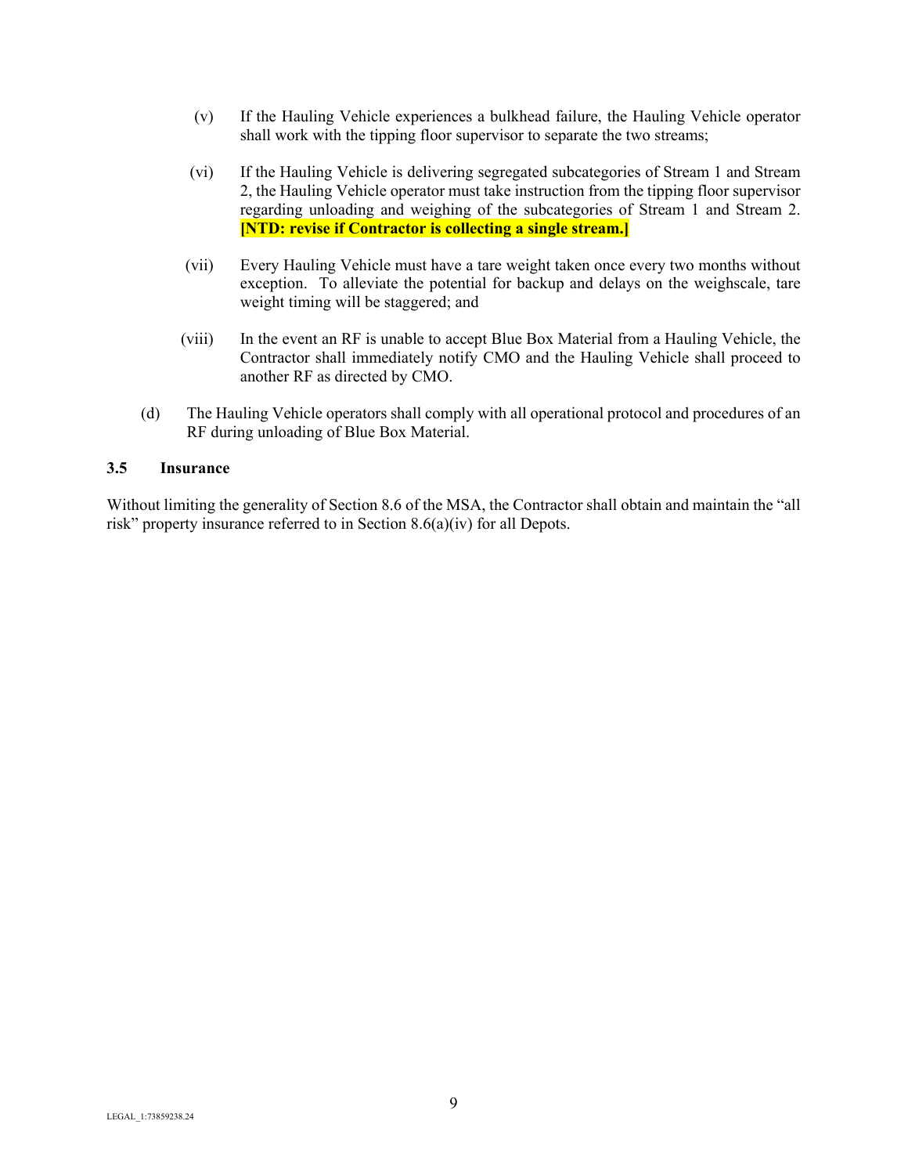- (v) If the Hauling Vehicle experiences a bulkhead failure, the Hauling Vehicle operator shall work with the tipping floor supervisor to separate the two streams;
- (vi) If the Hauling Vehicle is delivering segregated subcategories of Stream 1 and Stream 2, the Hauling Vehicle operator must take instruction from the tipping floor supervisor regarding unloading and weighing of the subcategories of Stream 1 and Stream 2. **[NTD: revise if Contractor is collecting a single stream.]**
- (vii) Every Hauling Vehicle must have a tare weight taken once every two months without exception. To alleviate the potential for backup and delays on the weighscale, tare weight timing will be staggered; and
- (viii) In the event an RF is unable to accept Blue Box Material from a Hauling Vehicle, the Contractor shall immediately notify CMO and the Hauling Vehicle shall proceed to another RF as directed by CMO.
- (d) The Hauling Vehicle operators shall comply with all operational protocol and procedures of an RF during unloading of Blue Box Material.

### <span id="page-9-0"></span>**3.5 Insurance**

Without limiting the generality of Section 8.6 of the MSA, the Contractor shall obtain and maintain the "all risk" property insurance referred to in Section 8.6(a)(iv) for all Depots.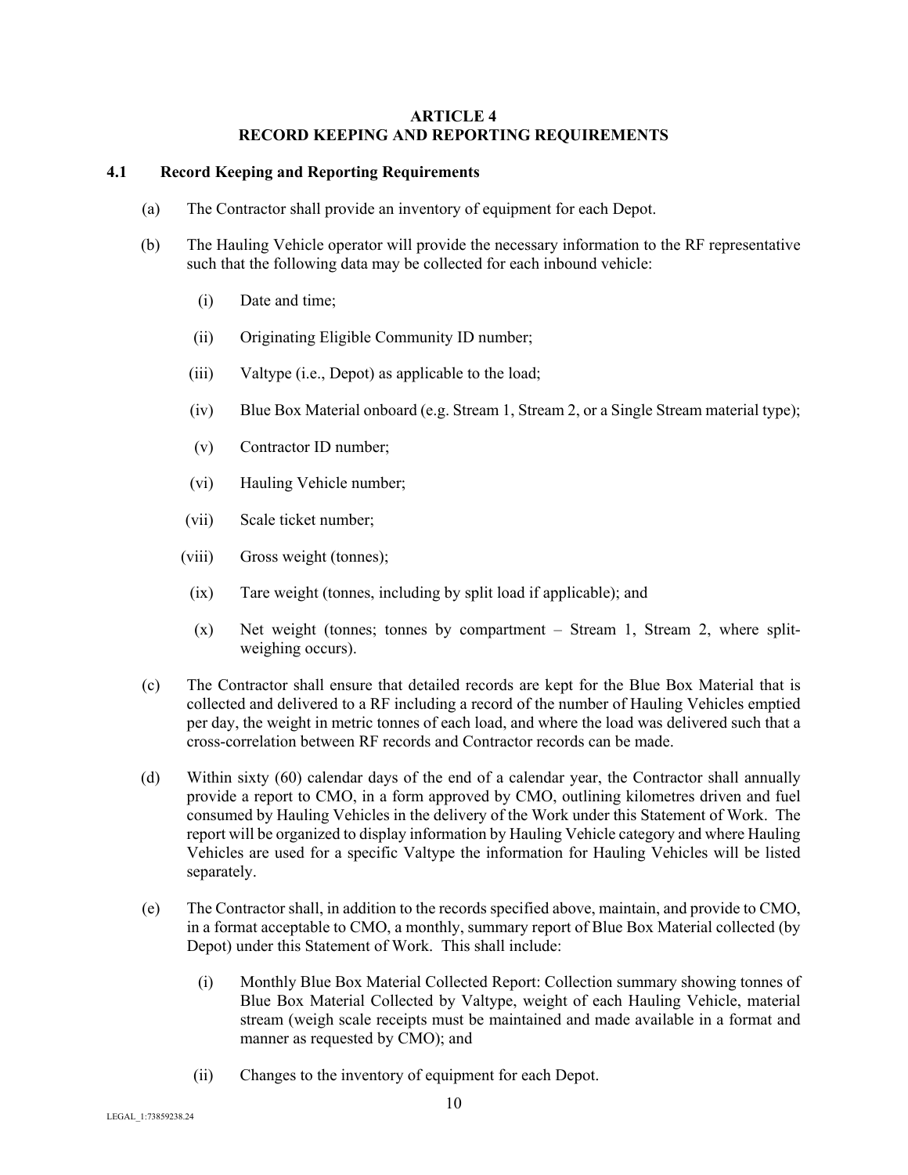#### **ARTICLE 4 RECORD KEEPING AND REPORTING REQUIREMENTS**

## <span id="page-10-1"></span><span id="page-10-0"></span>**4.1 Record Keeping and Reporting Requirements**

- (a) The Contractor shall provide an inventory of equipment for each Depot.
- (b) The Hauling Vehicle operator will provide the necessary information to the RF representative such that the following data may be collected for each inbound vehicle:
	- (i) Date and time;
	- (ii) Originating Eligible Community ID number;
	- (iii) Valtype (i.e., Depot) as applicable to the load;
	- (iv) Blue Box Material onboard (e.g. Stream 1, Stream 2, or a Single Stream material type);
	- (v) Contractor ID number;
	- (vi) Hauling Vehicle number;
	- (vii) Scale ticket number;
	- (viii) Gross weight (tonnes);
	- (ix) Tare weight (tonnes, including by split load if applicable); and
	- (x) Net weight (tonnes; tonnes by compartment Stream 1, Stream 2, where splitweighing occurs).
- (c) The Contractor shall ensure that detailed records are kept for the Blue Box Material that is collected and delivered to a RF including a record of the number of Hauling Vehicles emptied per day, the weight in metric tonnes of each load, and where the load was delivered such that a cross-correlation between RF records and Contractor records can be made.
- (d) Within sixty (60) calendar days of the end of a calendar year, the Contractor shall annually provide a report to CMO, in a form approved by CMO, outlining kilometres driven and fuel consumed by Hauling Vehicles in the delivery of the Work under this Statement of Work. The report will be organized to display information by Hauling Vehicle category and where Hauling Vehicles are used for a specific Valtype the information for Hauling Vehicles will be listed separately.
- (e) The Contractor shall, in addition to the records specified above, maintain, and provide to CMO, in a format acceptable to CMO, a monthly, summary report of Blue Box Material collected (by Depot) under this Statement of Work. This shall include:
	- (i) Monthly Blue Box Material Collected Report: Collection summary showing tonnes of Blue Box Material Collected by Valtype, weight of each Hauling Vehicle, material stream (weigh scale receipts must be maintained and made available in a format and manner as requested by CMO); and
	- (ii) Changes to the inventory of equipment for each Depot.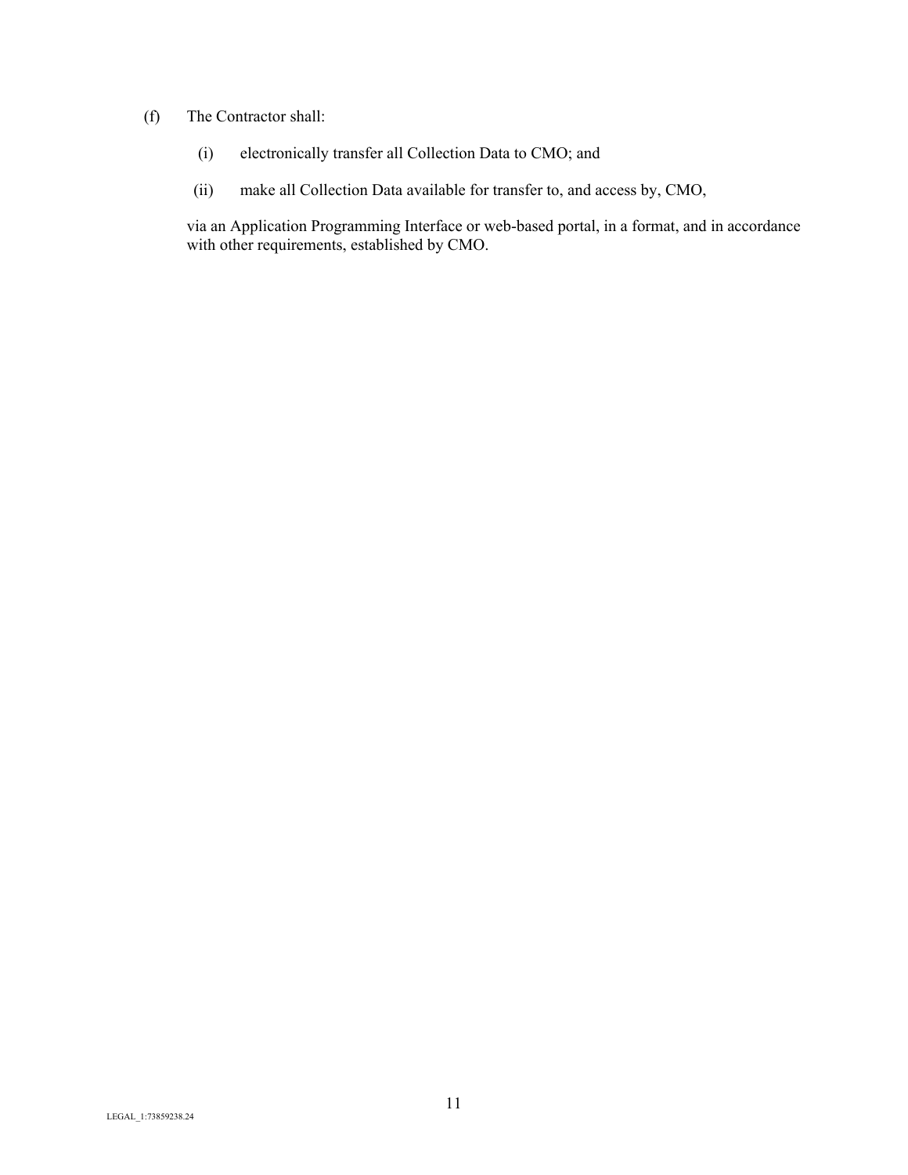### (f) The Contractor shall:

- (i) electronically transfer all Collection Data to CMO; and
- (ii) make all Collection Data available for transfer to, and access by, CMO,

via an Application Programming Interface or web-based portal, in a format, and in accordance with other requirements, established by CMO.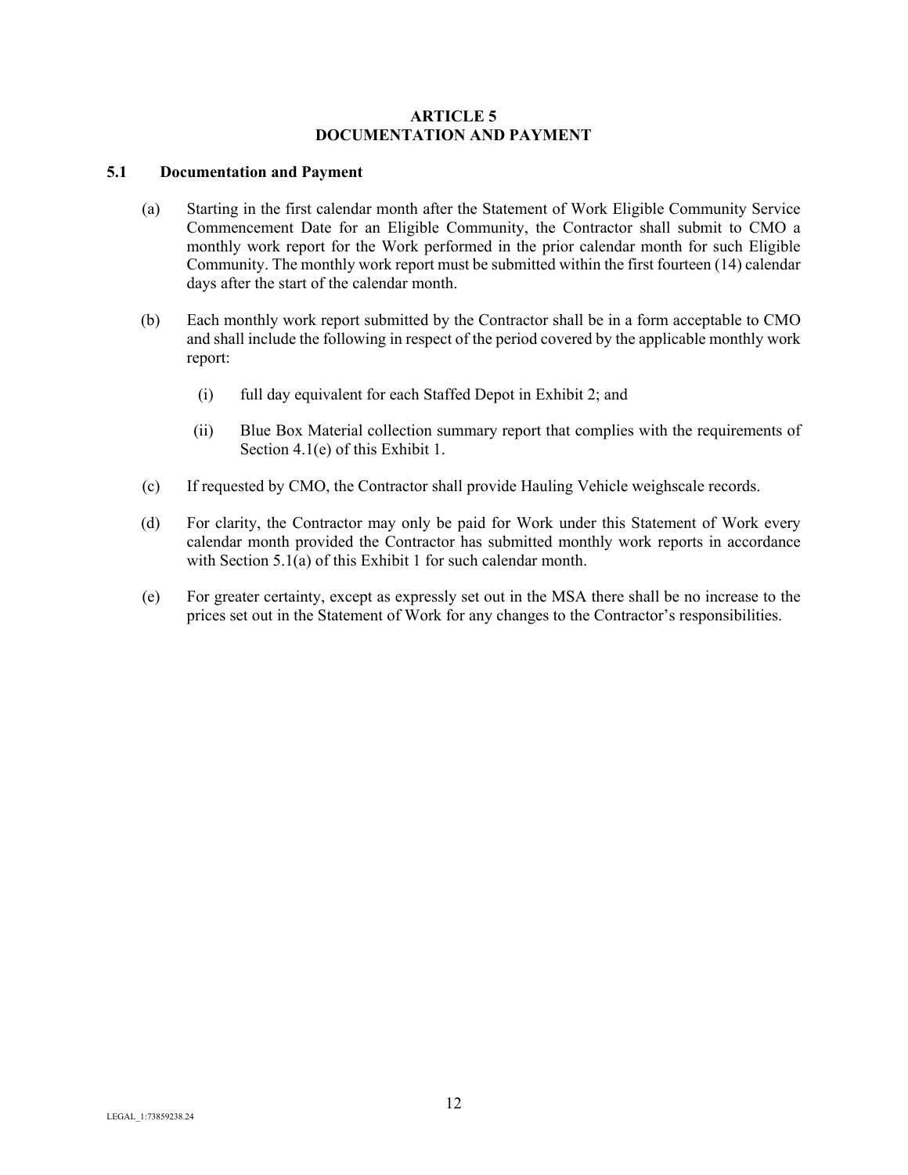#### **ARTICLE 5 DOCUMENTATION AND PAYMENT**

## <span id="page-12-1"></span><span id="page-12-0"></span>**5.1 Documentation and Payment**

- (a) Starting in the first calendar month after the Statement of Work Eligible Community Service Commencement Date for an Eligible Community, the Contractor shall submit to CMO a monthly work report for the Work performed in the prior calendar month for such Eligible Community. The monthly work report must be submitted within the first fourteen (14) calendar days after the start of the calendar month.
- (b) Each monthly work report submitted by the Contractor shall be in a form acceptable to CMO and shall include the following in respect of the period covered by the applicable monthly work report:
	- (i) full day equivalent for each Staffed Depot in Exhibit 2; and
	- (ii) Blue Box Material collection summary report that complies with the requirements of Section 4.1(e) of this Exhibit 1.
- (c) If requested by CMO, the Contractor shall provide Hauling Vehicle weighscale records.
- (d) For clarity, the Contractor may only be paid for Work under this Statement of Work every calendar month provided the Contractor has submitted monthly work reports in accordance with Section 5.1(a) of this Exhibit 1 for such calendar month.
- (e) For greater certainty, except as expressly set out in the MSA there shall be no increase to the prices set out in the Statement of Work for any changes to the Contractor's responsibilities.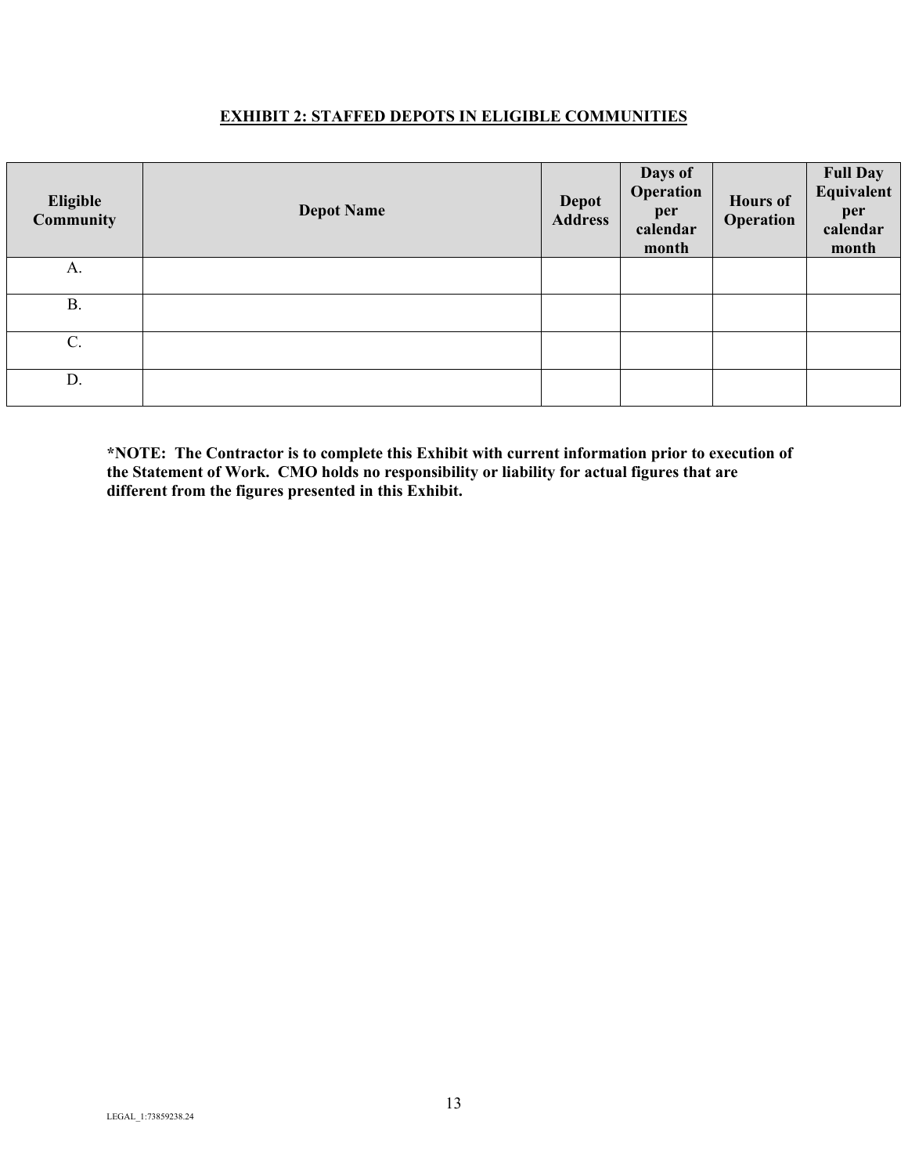## **EXHIBIT 2: STAFFED DEPOTS IN ELIGIBLE COMMUNITIES**

<span id="page-13-0"></span>

| Eligible<br>Community | <b>Depot Name</b> | <b>Depot</b><br><b>Address</b> | Days of<br>Operation<br>per<br>calendar<br>month | <b>Hours of</b><br>Operation | <b>Full Day</b><br><b>Equivalent</b><br>per<br>calendar<br>month |
|-----------------------|-------------------|--------------------------------|--------------------------------------------------|------------------------------|------------------------------------------------------------------|
| A.                    |                   |                                |                                                  |                              |                                                                  |
| <b>B.</b>             |                   |                                |                                                  |                              |                                                                  |
| $C$ .                 |                   |                                |                                                  |                              |                                                                  |
| D.                    |                   |                                |                                                  |                              |                                                                  |

**\*NOTE: The Contractor is to complete this Exhibit with current information prior to execution of the Statement of Work. CMO holds no responsibility or liability for actual figures that are different from the figures presented in this Exhibit.**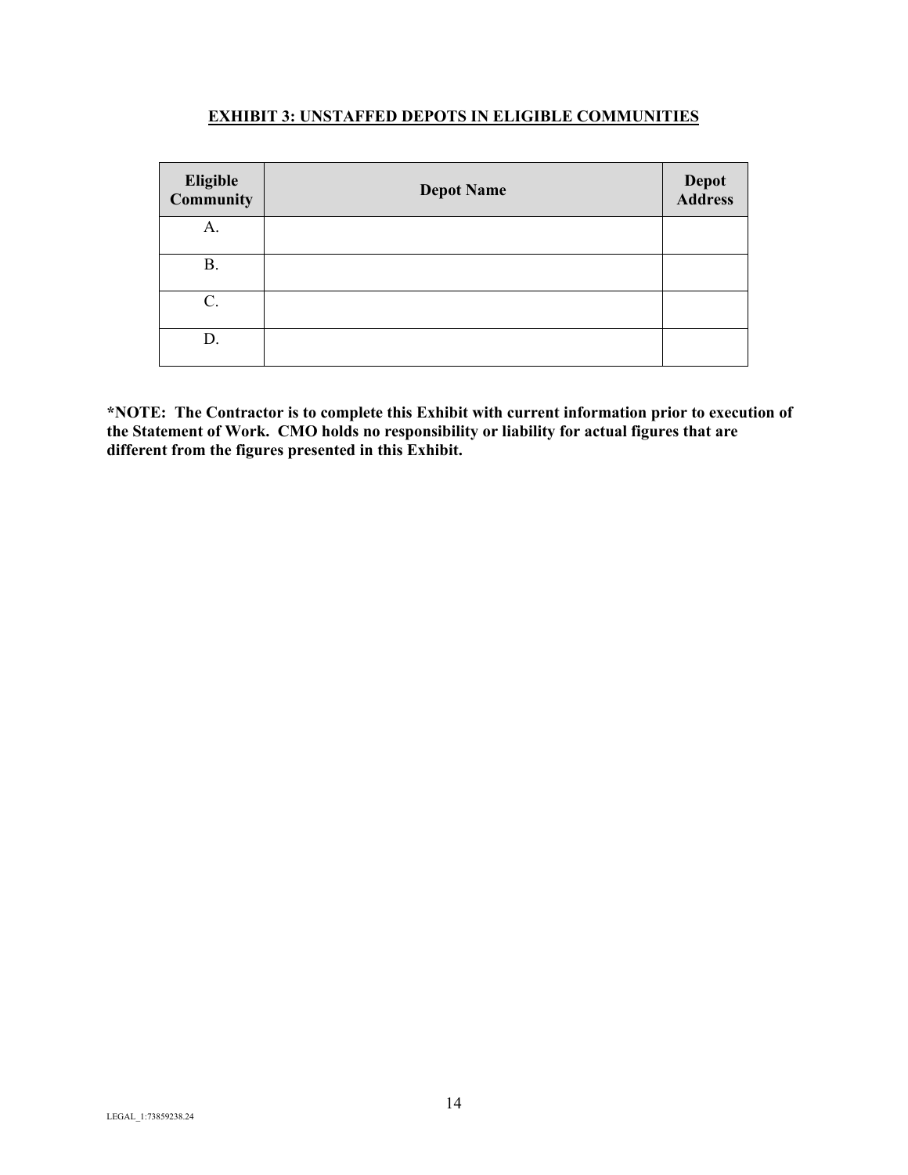## **EXHIBIT 3: UNSTAFFED DEPOTS IN ELIGIBLE COMMUNITIES**

<span id="page-14-0"></span>

| Eligible<br>Community | <b>Depot Name</b> | <b>Depot</b><br><b>Address</b> |
|-----------------------|-------------------|--------------------------------|
| A.                    |                   |                                |
| <b>B.</b>             |                   |                                |
| C.                    |                   |                                |
| D.                    |                   |                                |

**\*NOTE: The Contractor is to complete this Exhibit with current information prior to execution of the Statement of Work. CMO holds no responsibility or liability for actual figures that are different from the figures presented in this Exhibit.**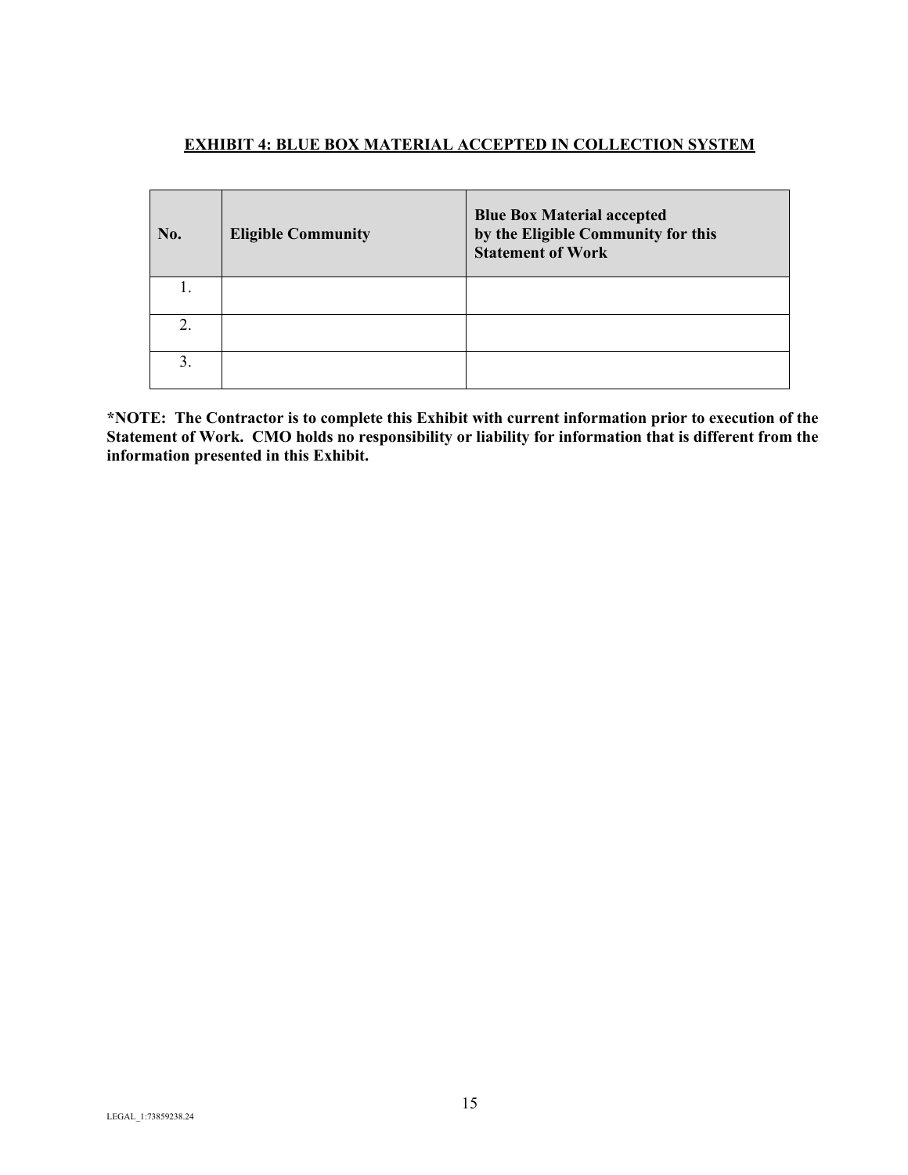## <span id="page-15-0"></span>**EXHIBIT 4: BLUE BOX MATERIAL ACCEPTED IN COLLECTION SYSTEM**

| No. | <b>Eligible Community</b> | <b>Blue Box Material accepted</b><br>by the Eligible Community for this<br><b>Statement of Work</b> |
|-----|---------------------------|-----------------------------------------------------------------------------------------------------|
|     |                           |                                                                                                     |
| 2.  |                           |                                                                                                     |
| 3.  |                           |                                                                                                     |

**\*NOTE: The Contractor is to complete this Exhibit with current information prior to execution of the Statement of Work. CMO holds no responsibility or liability for information that is different from the information presented in this Exhibit.**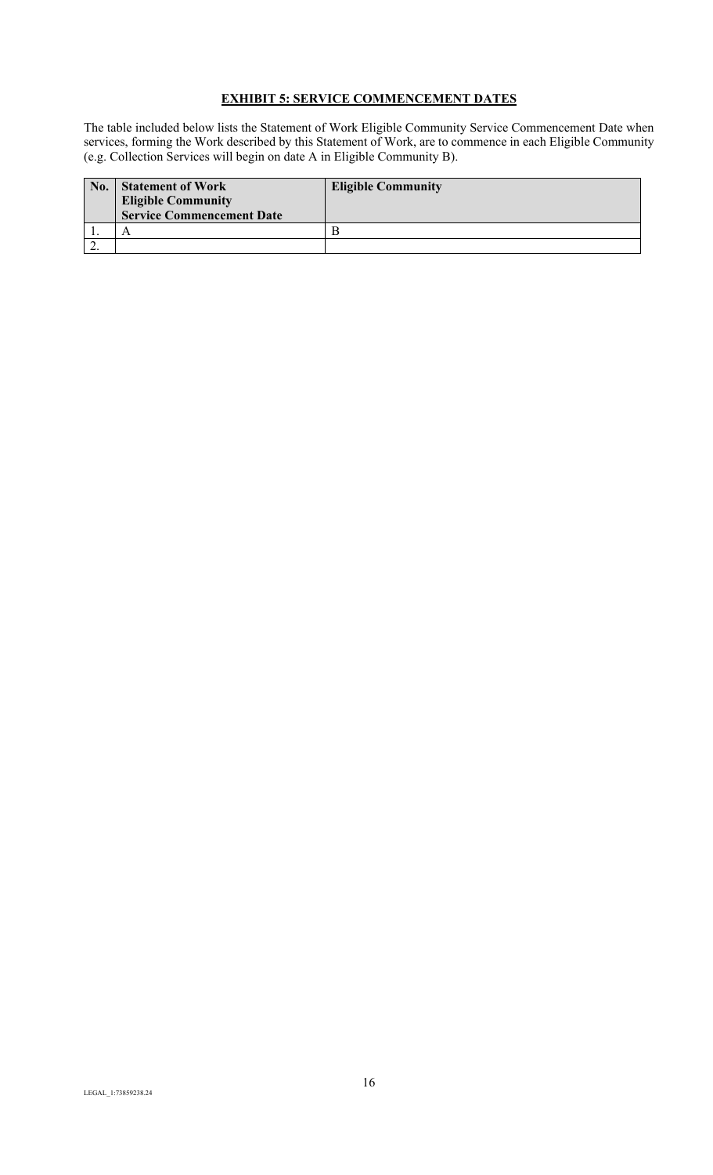# **EXHIBIT 5: SERVICE COMMENCEMENT DATES**

<span id="page-16-0"></span>The table included below lists the Statement of Work Eligible Community Service Commencement Date when services, forming the Work described by this Statement of Work, are to commence in each Eligible Community (e.g. Collection Services will begin on date A in Eligible Community B).

| No.      | <b>Statement of Work</b><br><b>Eligible Community</b><br><b>Service Commencement Date</b> | <b>Eligible Community</b> |
|----------|-------------------------------------------------------------------------------------------|---------------------------|
|          |                                                                                           |                           |
| <u>.</u> |                                                                                           |                           |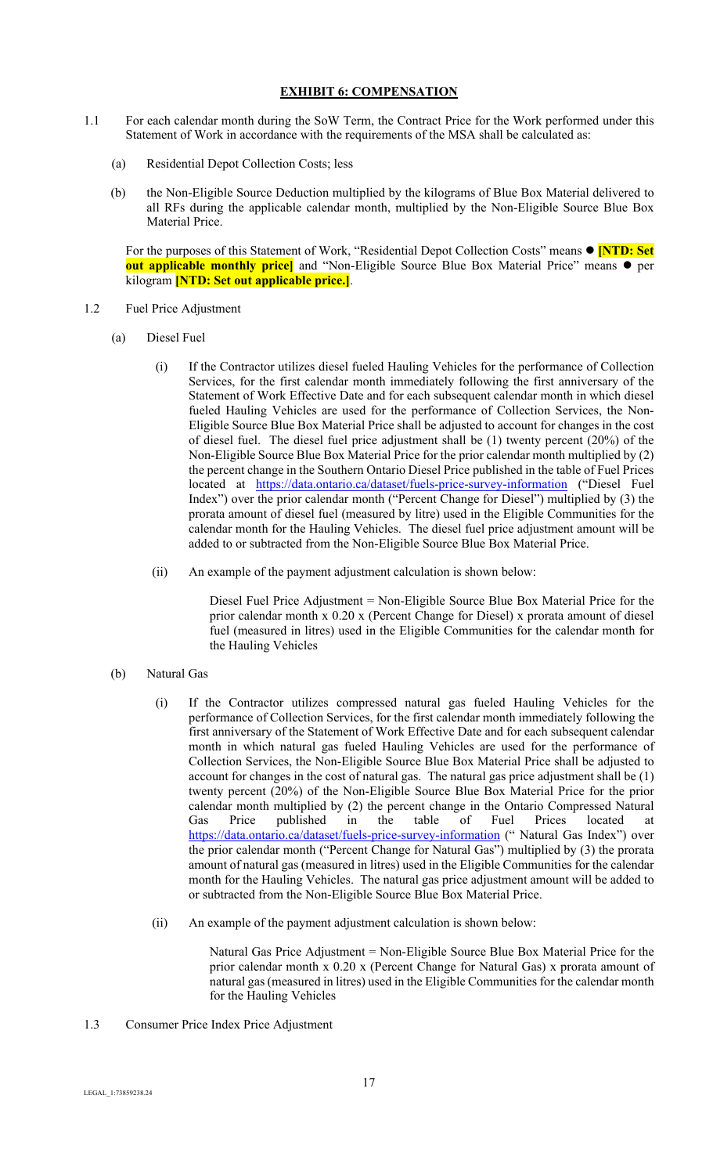## **EXHIBIT 6: COMPENSATION**

- <span id="page-17-0"></span>1.1 For each calendar month during the SoW Term, the Contract Price for the Work performed under this Statement of Work in accordance with the requirements of the MSA shall be calculated as:
	- (a) Residential Depot Collection Costs; less
	- (b) the Non-Eligible Source Deduction multiplied by the kilograms of Blue Box Material delivered to all RFs during the applicable calendar month, multiplied by the Non-Eligible Source Blue Box Material Price.

For the purposes of this Statement of Work, "Residential Depot Collection Costs" means  $\bullet$  **[NTD: Set out applicable monthly price**] and "Non-Eligible Source Blue Box Material Price" means  $\bullet$  per kilogram **[NTD: Set out applicable price.]**.

- 1.2 Fuel Price Adjustment
	- (a) Diesel Fuel
		- (i) If the Contractor utilizes diesel fueled Hauling Vehicles for the performance of Collection Services, for the first calendar month immediately following the first anniversary of the Statement of Work Effective Date and for each subsequent calendar month in which diesel fueled Hauling Vehicles are used for the performance of Collection Services, the Non-Eligible Source Blue Box Material Price shall be adjusted to account for changes in the cost of diesel fuel. The diesel fuel price adjustment shall be (1) twenty percent (20%) of the Non-Eligible Source Blue Box Material Price for the prior calendar month multiplied by (2) the percent change in the Southern Ontario Diesel Price published in the table of Fuel Prices located at https://data.ontario.ca/dataset/fuels-price-survey-information ("Diesel Fuel Index") over the prior calendar month ("Percent Change for Diesel") multiplied by (3) the prorata amount of diesel fuel (measured by litre) used in the Eligible Communities for the calendar month for the Hauling Vehicles. The diesel fuel price adjustment amount will be added to or subtracted from the Non-Eligible Source Blue Box Material Price.
		- (ii) An example of the payment adjustment calculation is shown below:

Diesel Fuel Price Adjustment = Non-Eligible Source Blue Box Material Price for the prior calendar month x 0.20 x (Percent Change for Diesel) x prorata amount of diesel fuel (measured in litres) used in the Eligible Communities for the calendar month for the Hauling Vehicles

- (b) Natural Gas
	- (i) If the Contractor utilizes compressed natural gas fueled Hauling Vehicles for the performance of Collection Services, for the first calendar month immediately following the first anniversary of the Statement of Work Effective Date and for each subsequent calendar month in which natural gas fueled Hauling Vehicles are used for the performance of Collection Services, the Non-Eligible Source Blue Box Material Price shall be adjusted to account for changes in the cost of natural gas. The natural gas price adjustment shall be (1) twenty percent (20%) of the Non-Eligible Source Blue Box Material Price for the prior calendar month multiplied by (2) the percent change in the Ontario Compressed Natural Gas Price published in the table of Fuel Prices located at https://data.ontario.ca/dataset/fuels-price-survey-information (" Natural Gas Index") over the prior calendar month ("Percent Change for Natural Gas") multiplied by (3) the prorata amount of natural gas (measured in litres) used in the Eligible Communities for the calendar month for the Hauling Vehicles. The natural gas price adjustment amount will be added to or subtracted from the Non-Eligible Source Blue Box Material Price.
	- (ii) An example of the payment adjustment calculation is shown below:

Natural Gas Price Adjustment = Non-Eligible Source Blue Box Material Price for the prior calendar month x 0.20 x (Percent Change for Natural Gas) x prorata amount of natural gas (measured in litres) used in the Eligible Communities for the calendar month for the Hauling Vehicles

1.3 Consumer Price Index Price Adjustment